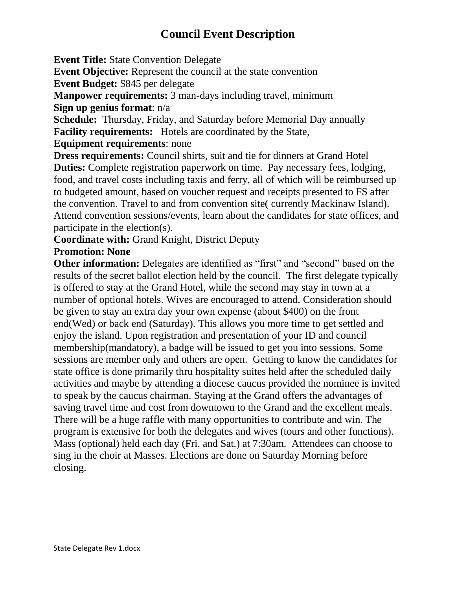## **Council Event Description**

**Event Title:** State Convention Delegate

**Event Objective:** Represent the council at the state convention

**Event Budget:** \$845 per delegate

**Manpower requirements:** 3 man-days including travel, minimum **Sign up genius format**: n/a

**Schedule:** Thursday, Friday, and Saturday before Memorial Day annually **Facility requirements:** Hotels are coordinated by the State,

**Equipment requirements**: none

**Dress requirements:** Council shirts, suit and tie for dinners at Grand Hotel **Duties:** Complete registration paperwork on time. Pay necessary fees, lodging, food, and travel costs including taxis and ferry, all of which will be reimbursed up to budgeted amount, based on voucher request and receipts presented to FS after the convention. Travel to and from convention site( currently Mackinaw Island). Attend convention sessions/events, learn about the candidates for state offices, and participate in the election(s).

**Coordinate with:** Grand Knight, District Deputy

## **Promotion: None**

**Other information:** Delegates are identified as "first" and "second" based on the results of the secret ballot election held by the council. The first delegate typically is offered to stay at the Grand Hotel, while the second may stay in town at a number of optional hotels. Wives are encouraged to attend. Consideration should be given to stay an extra day your own expense (about \$400) on the front end(Wed) or back end (Saturday). This allows you more time to get settled and enjoy the island. Upon registration and presentation of your ID and council membership(mandatory), a badge will be issued to get you into sessions. Some sessions are member only and others are open. Getting to know the candidates for state office is done primarily thru hospitality suites held after the scheduled daily activities and maybe by attending a diocese caucus provided the nominee is invited to speak by the caucus chairman. Staying at the Grand offers the advantages of saving travel time and cost from downtown to the Grand and the excellent meals. There will be a huge raffle with many opportunities to contribute and win. The program is extensive for both the delegates and wives (tours and other functions). Mass (optional) held each day (Fri. and Sat.) at 7:30am. Attendees can choose to sing in the choir at Masses. Elections are done on Saturday Morning before closing.